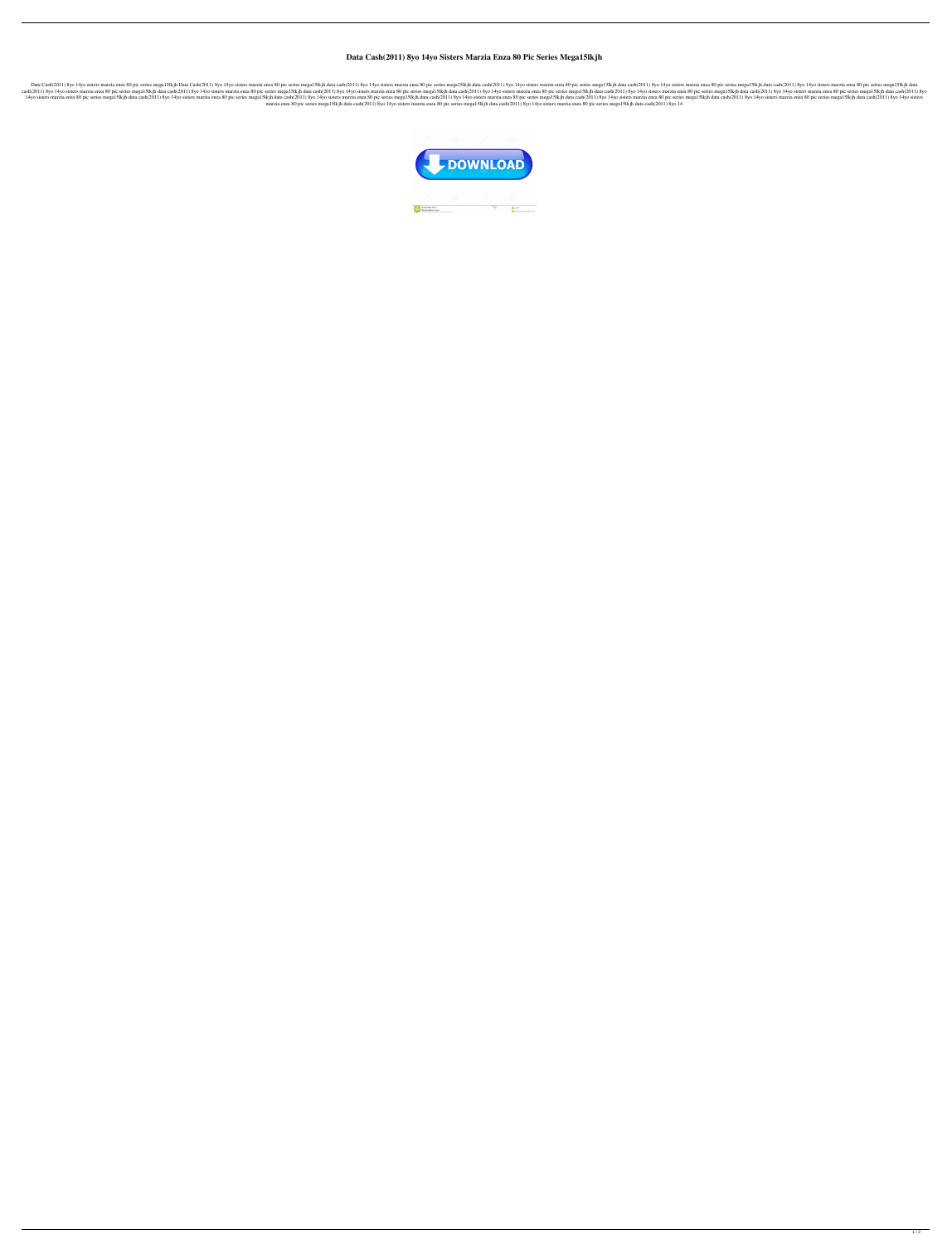## **Data Cash(2011) 8yo 14yo Sisters Marzia Enza 80 Pic Series Mega15lkjh**

Data Cash(2011) 8yo 14yo sisters marzia enza 80 pic series mega15lkjh Data Cash(2011) 8yo 14yo sisters marzia enza 80 pic series mega15lkjh data cash(2011) 8yo 14yo sisters marzia enza 80 pic series mega15lkjh data cash(20 cash(2011) 8yo 14yo sisters marzia enza 80 pic series mega15lkjh data cash(2011) 8yo 14yo sisters marzia enza 80 pic series mega15lkjh data cash(2011) 8yo 14yo sisters marzia enza 80 pic series mega15lkjh data cash(2011) 8 14yo sisters marzia enza 80 pic series mega15lkjh data cash(2011) 8yo 14yo sisters marzia enza 80 pic series mega15lkjh data cash(2011) 8yo 14yo sisters marzia enza 80 pic series mega15lkjh data cash(2011) 8yo 14yo sisters marzia enza 80 pic series mega15lkjh data cash(2011) 8yo 14yo sisters marzia enza 80 pic series mega15lkjh data cash(2011) 8yo 14yo sisters marzia enza 80 pic series mega15lkjh data cash(2011) 8yo 14